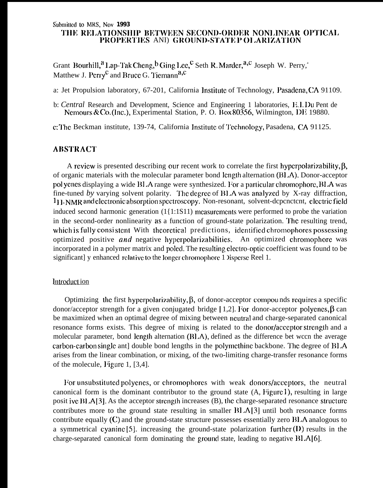#### Submitted to MRS, Nov 1993 THE RELATIONSHIP BETWEEN SECOND-ORDER NONLINEAR OPTICAL PROPERTIES AND GROUND-STATE P OLARIZATION

Grant Bourhill,  $a_{\text{Lap}}$ -Tak Cheng,  $b_{\text{Ging Lee}}$ , Seth R. Marder,  $a, c_{\text{Joseph W}}$ . Perry, Matthew J. Perry<sup>c</sup> and Bruce G. Tiemann<sup>a,c</sup>

a: Jet Propulsion laboratory, 67-201, California Institute of Technology, Pasadena, CA 91109.

b: Central Research and Development, Science and Engineering 1 laboratories, E.I.Du Pent de Nemours & Co. (Inc.), Experimental Station, P. O. Box 80356, Wilmington, DE 19880.

c: The Beckman institute, 139-74, California Institute of Technology, Pasadena, CA 91125.

### **ABSTRACT**

A review is presented describing our recent work to correlate the first hyperpolarizability, B. of organic materials with the molecular parameter bond length alternation  $(BL)$ . Donor-acceptor polyenes displaying a wide BLA range were synthesized. For a particular chromophore, BLA was fine-tuned by varying solvent polarity. The degree of BLA was analyzed by X-ray diffraction. <sup>1</sup>H-NMR and electronic absorption spectroscopy. Non-resonant, solvent-dependent, electric field induced second harmonic generation  $(1{1:}1S11)$  measurements were performed to probe the variation in the second-order nonlinearity as a function of ground-state polarization. The resulting trend, which is fully consistent With theoretical predictions, identified chromophores possessing optimized positive and negative hyperpolarizabilities. An optimized chromophore was incorporated in a polymer matrix and poled. The resulting electro-optic coefficient was found to be significant] y enhanced relative to the longer chromophore 1 Disperse Reel 1.

# Introduct ion

Optimizing the first hyperpolarizability,  $\beta$ , of donor-acceptor compounds requires a specific donor/acceptor strength for a given conjugated bridge [1,2]. For donor-acceptor polyenes,  $\beta$  can be maximized when an optimal degree of mixing between neutral and charge-separated canonical resonance forms exists. This degree of mixing is related to the donor/acceptor strength and a molecular parameter, bond length alternation (BLA), defined as the difference bet wccn the average carbon-carbon single ant double bond lengths in the polymethine backbone. The degree of BLA arises from the linear combination, or mixing, of the two-limiting charge-transfer resonance forms of the molecule, Figure 1, [3,4].

For unsubstituted polyenes, or chromophores with weak donors/acceptors, the neutral canonical form is the dominant contributor to the ground state (A, Figure 1), resulting in large posit ive BLA[3]. As the acceptor strength increases (B), the charge-separated resonance structure contributes more to the ground state resulting in smaller  $BLA[3]$  until both resonance forms contribute equally  $(C)$  and the ground-state structure possesses essentially zero BLA analogous to a symmetrical cyanine [5], increasing the ground-state polarization further  $(D)$  results in the charge-separated canonical form dominating the ground state, leading to negative BLA[6].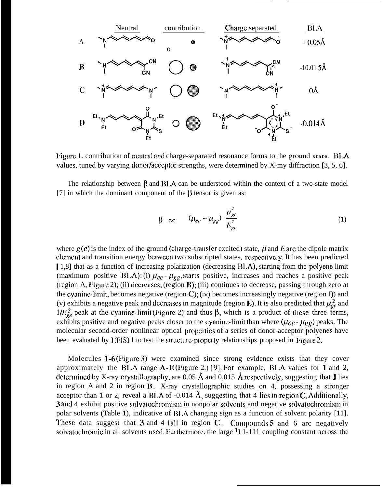

Figure 1. contribution of neutral and charge-separated resonance forms to the ground state. **BLA** values, tuned by varying donor/acceptor strengths, were determined by X-my diffraction  $[3, 5, 6]$ .

The relationship between  $\beta$  and  $BLA$  can be understood within the context of a two-state model [7] in which the dominant component of the  $\beta$  tensor is given as:

$$
\beta \quad \propto \qquad (\mu_{ee} - \mu_{gg}) \frac{\mu_{ge}^2}{E_{ge}^2} \tag{1}
$$

where  $g(e)$  is the index of the ground (charge-transfer excited) state,  $\mu$  and E arc the dipole matrix clcmcnt and transition energy bctwccn two subscripted states, rcspcctivc]y. It has been predicted [ 1,8] that as a function of increasing polarization (decreasing BLA), starting from the polyene limit (maximum positive BLA): (i)  $\mu_{ce}$  -  $\mu_{gg}$ , starts positive, increases and reaches a positive peak (region A, l'igure 2); (ii) dccrcascs, (region B); (iii) continues to decrease, passing through zero at the cyanine-limit, becomes negative (region  $\mathbf C$ ); (iv) becomes increasingly negative (region I)) and (v) exhibits a negative peak and decreases in magnitude (region E). It is also predicted that  $\mu_{ge}^2$  and  $1/E_{ge}^2$  peak at the cyanine-limit (Figure 2) and thus  $\beta$ , which is a product of these three terms, exhibits positive and negative peaks closer to the cyanine-limit than where  $(\mu_{ee} - \mu_{gg})$  peaks. The molecular second-order nonlinear optical properties of a series of donor-acceptor polyenes have been evaluated by EFIS1 1 to test the structure-property relationships proposed in Figure 2.

Molecules  $1-6$  (Figure 3) were examined since strong evidence exists that they cover approximately the BLA range  $A-E$  (Figure 2.) [9]. For example, BLA values for 1 and 2, determined by X-ray crystallography, are 0.05 Å and 0.015 Å respectively, suggesting that 1 lies in region A and 2 in region  $\bf{B}$ . X-ray crystallographic studies on 4, possessing a stronger acceptor than 1 or 2, reveal a BLA of -0.014  $\AA$ , suggesting that 4 lies in region C. Additionally, 3 and 4 exhibit positive solvatochromism in nonpolar solvents and negative solvatochromism in polar solvents (Table 1), indicative of BLA changing sign as a function of solvent polarity [11]. These data suggest that 3 and 4 fall in region C. Compounds 5 and 6 arc negatively solvatochromic in all solvents used. Furthermore, the large  $\frac{1}{1}$  1-111 coupling constant across the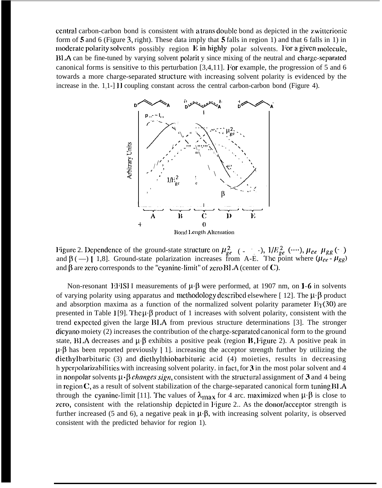central carbon-carbon bond is consistent with a trans double bond as depicted in the z witterionic form of 5 and 6 (Figure 3, right). These data imply that 5 falls in region 1) and that 6 falls in 1) in moderate polarity solvents possibly region  $E$  in highly polar solvents. For a given molecule, 111. A can be fine-tuned by varying solvent polarit y since mixing of the neutral and charge-separated canonical forms is sensitive to this perturbation  $[3,4,11]$ . For example, the progression of 5 and 6 towards a more charge-separated struct urc with increasing solvent polarity is evidenced by the increase in the.  $1,1$ -] II coupling constant across the central carbon-carbon bond (Figure 4).



Figure 2. Dependence of the ground-state structure on  $\mu_{ge}^2$  ( $-$  -),  $1/E_{ge}^2$  (…),  $\mu_{ee}$   $\mu_{gg}$  (– ) and  $\beta$  ( —) [ 1,8]. Ground-state polarization increases from A-E. The point where  $(\mu_{ce} - \mu_{gg})$ and  $\beta$  are zero corresponds to the "cyanine-limit" of zero BLA (center of C).

Non-resonant 1:1<sup>1</sup>ISI I measurements of  $\mu$   $\beta$  were performed, at 1907 nm, on 1-6 in solvents of varying polarity using apparatus and methodology described elsewhere [ 12]. The  $\mu \cdot \beta$  product and absorption maxima as a function of the normalized solvent polarity parameter  $E_T(30)$  are presented in Table 1 [9]. The  $\mu$   $\beta$  product of 1 increases with solvent polarity, consistent with the trend expcctcd given the large <sup>111</sup> .A from previous structure determinations [3]. The stronger dicyano moiety (2) increases the contribution of the charge-scpatated canonical form to the ground state, BLA decreases and  $\mu \beta$  exhibits a positive peak (region B, Figure 2). A positive peak in  $\mu \cdot \beta$  has been reported previously [1]. increasing the acceptor strength further by utilizing the diethylbarbituric (3) and diethylthiobarbituric acid (4) moieties, results in decreasing h yperpolarizabilities with increasing solvent polarity. in fact, for  $3$  in the most polar solvent and 4 in nonpolar solvents  $\mu \cdot \beta$  *changes sign*, consistent with the structural assignment of 3 and 4 being in region  $C$ , as a result of solvent stabilization of the charge-separated canonical form tuning  $BLA$ through the cyanine-limit [11]. The values of  $\lambda_{\text{max}}$  for 4 arc. maximized when  $\mu \cdot \beta$  is close to zero, consistent with the relationship depicted in Figure 2.. As the donor/acceptor strength is further increased (5 and 6), a negative peak in  $\mu$ .  $\beta$ , with increasing solvent polarity, is observed consistent with the predicted behavior for region 1).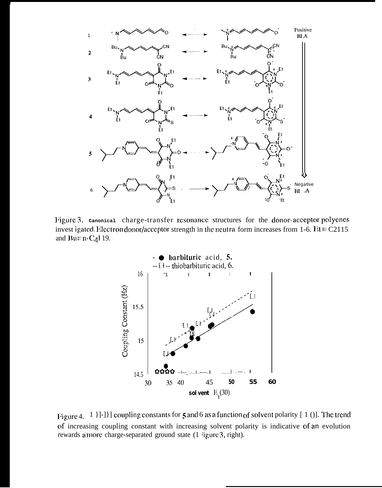

Figure 3. canonical charge-transfer resonance structures for the donor-acceptor polyenes invest igated. Electron donor/acceptor strength in the neutral form increases from 1-6.  $\text{R1} \equiv \text{C2115}$ and Bu $\equiv$ n-C<sub>4</sub>l 19.



Figure 4. 1  $\}$ ] $\}$ ] coupling constants for 5 and 6 as a function of solvent polarity [10]. The trend of increasing coupling constant with increasing solvent polarity is indicative of an evolution rewards a more charge-separated ground state (1 igure 3, right).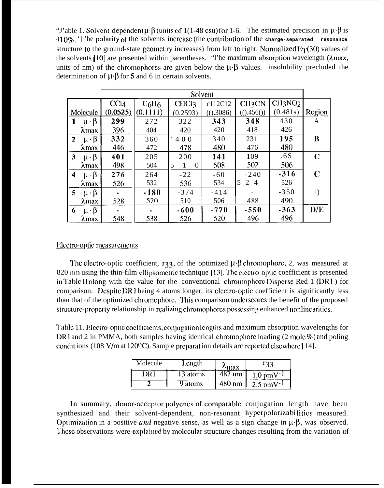"J'able 1. Solvent-dependent  $\mu \cdot \beta$  (units of 1(1-48 esu) for 1-6. The estimated precision in  $\mu \cdot \beta$  is  $\pm 10\%$ . The polarity of the solvents increase (the contribution of the charge-separated resonance structure to the ground-state geomet ry increases) from left to right. Normalized  $E_T(30)$  values of the solvents [10] are presented within parentheses. "The maximum absorption wavelength (λmax, units of nm) of the chromophores are given below the  $\mu \cdot \beta$  values. insolubility precluded the determination of  $\mu \cdot \beta$  for 5 and 6 in certain solvents.

| Solvent      |                           |                  |                               |                  |            |                    |                                 |                  |
|--------------|---------------------------|------------------|-------------------------------|------------------|------------|--------------------|---------------------------------|------------------|
|              |                           | CCI <sub>4</sub> | C <sub>6</sub> H <sub>6</sub> | CHC <sub>3</sub> | c112C12    | CH <sub>3</sub> CN | CH <sub>3</sub> NO <sub>2</sub> |                  |
| Molecule     |                           | (0.0525)         | (0.1111)                      | (0.2593)         | (() .3086) | (().456())         | (0.481s)                        | Region           |
|              | $\mu \cdot \beta$         | 299              | 272                           | 322              | 343        | 348                | 430                             | A                |
|              | <b><i><u>Amax</u></i></b> | 396              | 404                           | 420              | 420        | 418                | 426                             |                  |
| $\mathbf{2}$ | $\mu \cdot \beta$         | 332              | 360                           | ' 400            | 340        | 231                | 195                             | B                |
|              | <b><i><u>Amax</u></i></b> | 446              | 472                           | 478              | 480        | 476                | 480                             |                  |
| 3            | $\mu \cdot \beta$         | 401              | 205                           | 200              | 141        | 109                | .6S                             | C                |
|              | λmax                      | 498              | 504                           | 5<br>$\theta$    | 508        | 502                | 506                             |                  |
| 4            | $\mu \cdot \beta$         | 276              | 264                           | $-22$            | $-60$      | $-240$             | $-316$                          | C                |
|              | <b>Amax</b>               | 526              | 532                           | 536              | 534        | $5^{\circ}$<br>24  | 526                             |                  |
| $\mathbf{5}$ | $\mu \cdot \beta$         |                  | $-180$                        | $-374$           | $-414$     |                    | $-350$                          | $\left  \right $ |
|              | <b><i><u>Amax</u></i></b> | 528              | 520                           | 510              | 506        | 488                | 490                             |                  |
| 6            | $\mu \cdot \beta$         |                  |                               | $-600$           | $-770$     | $-550$             | $-363$                          | D/E              |
|              | Amax                      | 548              | 538                           | 526              | 520        | 496                | 496                             |                  |

## Electro-optic measurements

The electro-optic coefficient,  $r_33$ , of the optimized  $\mu$   $\beta$  chromophore, 2, was measured at 820 nm using the thin-film ellipsometric technique [13]. The electro-optic coefficient is presented in Table II along with the value for the conventional chromophore Disperse Red 1 (DR1) for comparison. Despite DR1 being 4 atoms longer, its electro-optic coefficient is significantly less than that of the optimized chromophore. This comparison underscores the benefit of the proposed structure-property relationship in realizing chromophores possessing enhanced nonlinearities.

Table 11. Electro-optic coefficients, conjugation lengths and maximum absorption wavelengths for DR1 and 2 in PMMA, both samples having identical chromophore loading (2 mole %) and poling conditions (108 V/m at 120<sup>o</sup>C). Sample preparation details are reported elsewhere [14].

| Molecule | Length   | $\lambda$ max | 133                    |
|----------|----------|---------------|------------------------|
| DR 1     | 13 atoms | 487 nm        | $1.0 \text{ pmV}^{-1}$ |
|          | 9 atoms  | 480 nm        | $2.5 \text{ nmV}^{-1}$ |

In summary, donor-acceptor polyenes of comparable conjugation length have been synthesized and their solvent-dependent, non-resonant hyperpolarizabilities measured. Optimization in a positive and negative sense, as well as a sign change in  $\mu$  B, was observed. These observations were explained by molecular structure changes resulting from the variation of